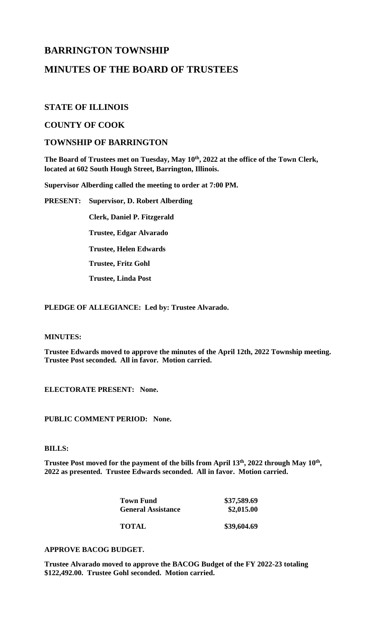# **BARRINGTON TOWNSHIP**

# **MINUTES OF THE BOARD OF TRUSTEES**

# **STATE OF ILLINOIS**

# **COUNTY OF COOK**

# **TOWNSHIP OF BARRINGTON**

**The Board of Trustees met on Tuesday, May 10th , 2022 at the office of the Town Clerk, located at 602 South Hough Street, Barrington, Illinois.**

**Supervisor Alberding called the meeting to order at 7:00 PM.**

**PRESENT: Supervisor, D. Robert Alberding**

**Clerk, Daniel P. Fitzgerald Trustee, Edgar Alvarado**

**Trustee, Helen Edwards**

**Trustee, Fritz Gohl**

**Trustee, Linda Post**

**PLEDGE OF ALLEGIANCE: Led by: Trustee Alvarado.**

# **MINUTES:**

**Trustee Edwards moved to approve the minutes of the April 12th, 2022 Township meeting. Trustee Post seconded. All in favor. Motion carried.**

**ELECTORATE PRESENT: None.**

# **PUBLIC COMMENT PERIOD: None.**

# **BILLS:**

**Trustee Post moved for the payment of the bills from April 13th , 2022 through May 10th , 2022 as presented. Trustee Edwards seconded. All in favor. Motion carried.** 

| <b>Town Fund</b>          | \$37,589.69 |
|---------------------------|-------------|
| <b>General Assistance</b> | \$2,015.00  |
|                           |             |
| <b>TOTAL</b>              | \$39,604.69 |

# **APPROVE BACOG BUDGET.**

**Trustee Alvarado moved to approve the BACOG Budget of the FY 2022-23 totaling \$122,492.00. Trustee Gohl seconded. Motion carried.**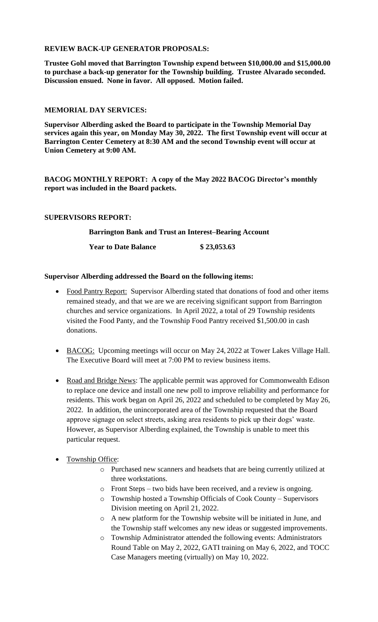# **REVIEW BACK-UP GENERATOR PROPOSALS:**

**Trustee Gohl moved that Barrington Township expend between \$10,000.00 and \$15,000.00 to purchase a back-up generator for the Township building. Trustee Alvarado seconded. Discussion ensued. None in favor. All opposed. Motion failed.**

# **MEMORIAL DAY SERVICES:**

**Supervisor Alberding asked the Board to participate in the Township Memorial Day services again this year, on Monday May 30, 2022. The first Township event will occur at Barrington Center Cemetery at 8:30 AM and the second Township event will occur at Union Cemetery at 9:00 AM.**

**BACOG MONTHLY REPORT: A copy of the May 2022 BACOG Director's monthly report was included in the Board packets.**

# **SUPERVISORS REPORT:**

**Barrington Bank and Trust an Interest–Bearing Account**

**Year to Date Balance \$ 23,053.63**

# **Supervisor Alberding addressed the Board on the following items:**

- Food Pantry Report: Supervisor Alberding stated that donations of food and other items remained steady, and that we are we are receiving significant support from Barrington churches and service organizations. In April 2022, a total of 29 Township residents visited the Food Panty, and the Township Food Pantry received \$1,500.00 in cash donations.
- BACOG: Upcoming meetings will occur on May 24, 2022 at Tower Lakes Village Hall. The Executive Board will meet at 7:00 PM to review business items.
- Road and Bridge News: The applicable permit was approved for Commonwealth Edison to replace one device and install one new poll to improve reliability and performance for residents. This work began on April 26, 2022 and scheduled to be completed by May 26, 2022. In addition, the unincorporated area of the Township requested that the Board approve signage on select streets, asking area residents to pick up their dogs' waste. However, as Supervisor Alberding explained, the Township is unable to meet this particular request.

# • Township Office:

- o Purchased new scanners and headsets that are being currently utilized at three workstations.
- o Front Steps two bids have been received, and a review is ongoing.
- o Township hosted a Township Officials of Cook County Supervisors Division meeting on April 21, 2022.
- o A new platform for the Township website will be initiated in June, and the Township staff welcomes any new ideas or suggested improvements.
- o Township Administrator attended the following events: Administrators Round Table on May 2, 2022, GATI training on May 6, 2022, and TOCC Case Managers meeting (virtually) on May 10, 2022.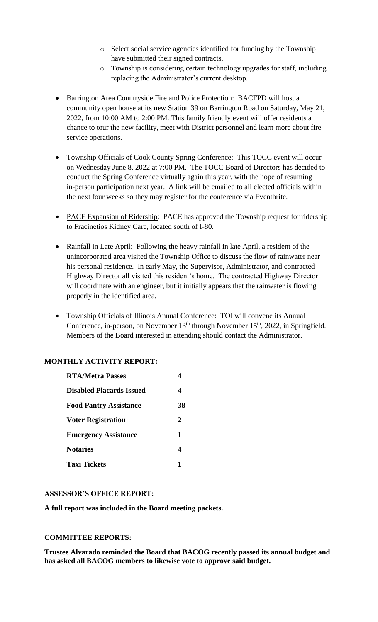- o Select social service agencies identified for funding by the Township have submitted their signed contracts.
- o Township is considering certain technology upgrades for staff, including replacing the Administrator's current desktop.
- Barrington Area Countryside Fire and Police Protection: BACFPD will host a community open house at its new Station 39 on Barrington Road on Saturday, May 21, 2022, from 10:00 AM to 2:00 PM. This family friendly event will offer residents a chance to tour the new facility, meet with District personnel and learn more about fire service operations.
- Township Officials of Cook County Spring Conference: This TOCC event will occur on Wednesday June 8, 2022 at 7:00 PM. The TOCC Board of Directors has decided to conduct the Spring Conference virtually again this year, with the hope of resuming in-person participation next year. A link will be emailed to all elected officials within the next four weeks so they may register for the conference via Eventbrite.
- PACE Expansion of Ridership: PACE has approved the Township request for ridership to Fracinetios Kidney Care, located south of I-80.
- Rainfall in Late April: Following the heavy rainfall in late April, a resident of the unincorporated area visited the Township Office to discuss the flow of rainwater near his personal residence. In early May, the Supervisor, Administrator, and contracted Highway Director all visited this resident's home. The contracted Highway Director will coordinate with an engineer, but it initially appears that the rainwater is flowing properly in the identified area.
- Township Officials of Illinois Annual Conference: TOI will convene its Annual Conference, in-person, on November  $13<sup>th</sup>$  through November  $15<sup>th</sup>$ , 2022, in Springfield. Members of the Board interested in attending should contact the Administrator.

# **MONTHLY ACTIVITY REPORT:**

| <b>RTA/Metra Passes</b>         | 4           |
|---------------------------------|-------------|
| <b>Disabled Placards Issued</b> | 4           |
| <b>Food Pantry Assistance</b>   | 38          |
| <b>Voter Registration</b>       | 2           |
| <b>Emergency Assistance</b>     | $\mathbf 1$ |
| <b>Notaries</b>                 | 4           |
| <b>Taxi Tickets</b>             | 1           |

# **ASSESSOR'S OFFICE REPORT:**

**A full report was included in the Board meeting packets.** 

# **COMMITTEE REPORTS:**

**Trustee Alvarado reminded the Board that BACOG recently passed its annual budget and has asked all BACOG members to likewise vote to approve said budget.**